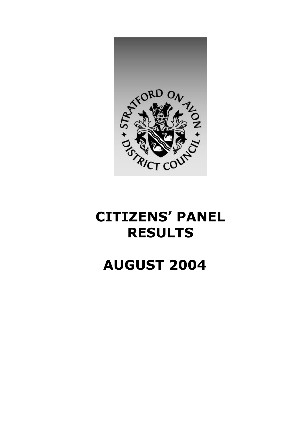

## **CITIZENS' PANEL RESULTS**

## **AUGUST 2004**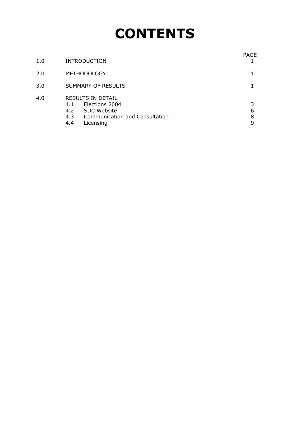# **CONTENTS**

| 1.0 | <b>INTRODUCTION</b>                                                                                                                  | PAGE             |
|-----|--------------------------------------------------------------------------------------------------------------------------------------|------------------|
| 2.0 | <b>METHODOLOGY</b>                                                                                                                   |                  |
| 3.0 | SUMMARY OF RESULTS                                                                                                                   |                  |
| 4.0 | RESULTS IN DETAIL<br>Elections 2004<br>4.1<br>4.2<br><b>SDC Website</b><br>Communication and Consultation<br>4.3<br>4.4<br>Licensing | 3<br>6<br>8<br>9 |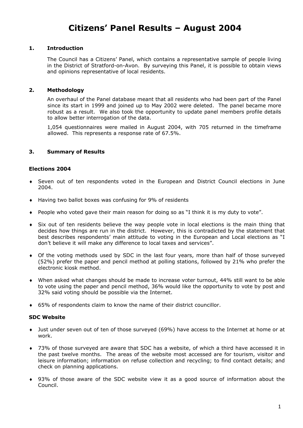### **Citizens' Panel Results – August 2004**

#### **1. Introduction**

The Council has a Citizens' Panel, which contains a representative sample of people living in the District of Stratford-on-Avon. By surveying this Panel, it is possible to obtain views and opinions representative of local residents.

#### **2. Methodology**

An overhaul of the Panel database meant that all residents who had been part of the Panel since its start in 1999 and joined up to May 2002 were deleted. The panel became more robust as a result. We also took the opportunity to update panel members profile details to allow better interrogation of the data.

1,054 questionnaires were mailed in August 2004, with 705 returned in the timeframe allowed. This represents a response rate of 67.5%.

#### **3. Summary of Results**

#### **Elections 2004**

- ♦ Seven out of ten respondents voted in the European and District Council elections in June 2004.
- ♦ Having two ballot boxes was confusing for 9% of residents
- ♦ People who voted gave their main reason for doing so as "I think it is my duty to vote".
- ♦ Six out of ten residents believe the way people vote in local elections is the main thing that decides how things are run in the district. However, this is contradicted by the statement that best describes respondents' main attitude to voting in the European and Local elections as "I don't believe it will make any difference to local taxes and services".
- ♦ Of the voting methods used by SDC in the last four years, more than half of those surveyed (52%) prefer the paper and pencil method at polling stations, followed by 21% who prefer the electronic kiosk method.
- ♦ When asked what changes should be made to increase voter turnout, 44% still want to be able to vote using the paper and pencil method, 36% would like the opportunity to vote by post and 32% said voting should be possible via the Internet.
- ♦ 65% of respondents claim to know the name of their district councillor.

#### **SDC Website**

- ♦ Just under seven out of ten of those surveyed (69%) have access to the Internet at home or at work.
- ♦ 73% of those surveyed are aware that SDC has a website, of which a third have accessed it in the past twelve months. The areas of the website most accessed are for tourism, visitor and leisure information; information on refuse collection and recycling; to find contact details; and check on planning applications.
- ♦ 93% of those aware of the SDC website view it as a good source of information about the Council.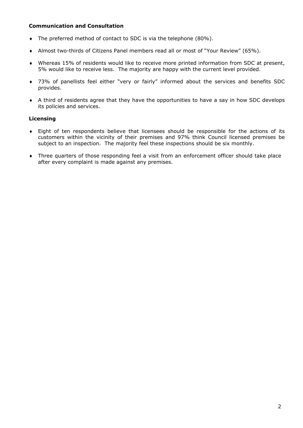#### **Communication and Consultation**

- ♦ The preferred method of contact to SDC is via the telephone (80%).
- ♦ Almost two-thirds of Citizens Panel members read all or most of "Your Review" (65%).
- ♦ Whereas 15% of residents would like to receive more printed information from SDC at present, 5% would like to receive less. The majority are happy with the current level provided.
- ♦ 73% of panellists feel either "very or fairly" informed about the services and benefits SDC provides.
- ♦ A third of residents agree that they have the opportunities to have a say in how SDC develops its policies and services.

#### **Licensing**

- ♦ Eight of ten respondents believe that licensees should be responsible for the actions of its customers within the vicinity of their premises and 97% think Council licensed premises be subject to an inspection. The majority feel these inspections should be six monthly.
- ♦ Three quarters of those responding feel a visit from an enforcement officer should take place after every complaint is made against any premises.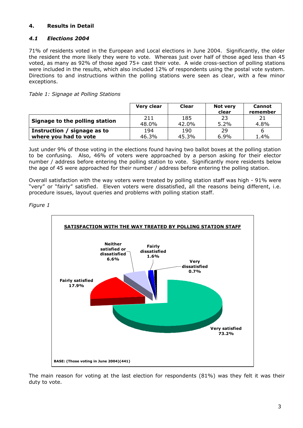#### **4. Results in Detail**

#### *4.1 Elections 2004*

71% of residents voted in the European and Local elections in June 2004. Significantly, the older the resident the more likely they were to vote. Whereas just over half of those aged less than 45 voted, as many as 92% of those aged 75+ cast their vote. A wide cross-section of polling stations were included in the results, which also included 12% of respondents using the postal vote system. Directions to and instructions within the polling stations were seen as clear, with a few minor exceptions.

*Table 1: Signage at Polling Stations* 

|                                | Very clear   | <b>Clear</b> | <b>Not very</b><br>clear | <b>Cannot</b><br>remember |
|--------------------------------|--------------|--------------|--------------------------|---------------------------|
| Signage to the polling station | 211<br>48.0% | 185<br>42.0% | 23<br>$5.2\%$            | 4.8%                      |
| Instruction / signage as to    | 194          | 190          | 29                       |                           |
| where you had to vote          | 46.3%        | 45.3%        | $6.9\%$                  | 1.4%                      |

Just under 9% of those voting in the elections found having two ballot boxes at the polling station to be confusing. Also, 46% of voters were approached by a person asking for their elector number / address before entering the polling station to vote. Significantly more residents below the age of 45 were approached for their number / address before entering the polling station.

Overall satisfaction with the way voters were treated by polling station staff was high - 91% were "very" or "fairly" satisfied. Eleven voters were dissatisfied, all the reasons being different, i.e. procedure issues, layout queries and problems with polling station staff.

*Figure 1*



The main reason for voting at the last election for respondents (81%) was they felt it was their duty to vote.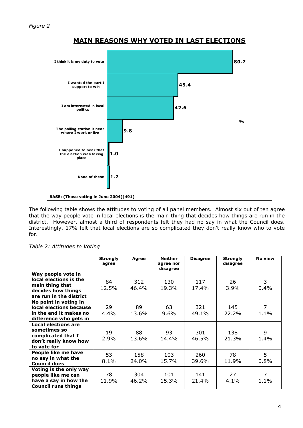

The following table shows the attitudes to voting of all panel members. Almost six out of ten agree that the way people vote in local elections is the main thing that decides how things are run in the district. However, almost a third of respondents felt they had no say in what the Council does. Interestingly, 17% felt that local elections are so complicated they don't really know who to vote for.

|  | Table 2: Attitudes to Voting |  |  |
|--|------------------------------|--|--|
|--|------------------------------|--|--|

|                                                                                                                  | <b>Strongly</b><br>agree | Agree        | <b>Neither</b><br>agree nor<br>disagree | <b>Disagree</b> | <b>Strongly</b><br>disagree | No view      |
|------------------------------------------------------------------------------------------------------------------|--------------------------|--------------|-----------------------------------------|-----------------|-----------------------------|--------------|
| Way people vote in<br>local elections is the<br>main thing that<br>decides how things<br>are run in the district | 84<br>12.5%              | 312<br>46.4% | 130<br>19.3%                            | 117<br>17.4%    | 26<br>3.9%                  | 3<br>0.4%    |
| No point in voting in<br>local elections because<br>in the end it makes no<br>difference who gets in             | 29<br>4.4%               | 89<br>13.6%  | 63<br>$9.6\%$                           | 321<br>49.1%    | 145<br>22.2%                | 7<br>1.1%    |
| <b>Local elections are</b><br>sometimes so<br>complicated that I<br>don't really know how<br>to vote for         | 19<br>2.9%               | 88<br>13.6%  | 93<br>14.4%                             | 301<br>46.5%    | 138<br>21.3%                | 9<br>1.4%    |
| People like me have<br>no say in what the<br><b>Council does</b>                                                 | 53<br>8.1%               | 158<br>24.0% | 103<br>15.7%                            | 260<br>39.6%    | 78<br>11.9%                 | 5<br>$0.8\%$ |
| Voting is the only way<br>people like me can<br>have a say in how the<br><b>Council runs things</b>              | 78<br>11.9%              | 304<br>46.2% | 101<br>15.3%                            | 141<br>21.4%    | 27<br>4.1%                  | 7<br>1.1%    |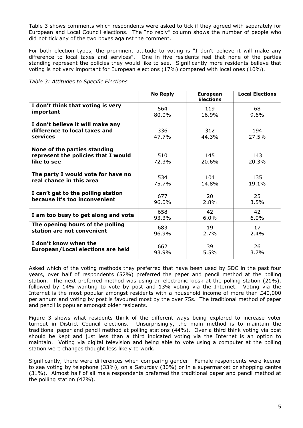Table 3 shows comments which respondents were asked to tick if they agreed with separately for European and Local Council elections. The "no reply" column shows the number of people who did not tick any of the two boxes against the comment.

For both election types, the prominent attitude to voting is "I don't believe it will make any difference to local taxes and services". One in five residents feel that none of the parties standing represent the policies they would like to see. Significantly more residents believe that voting is not very important for European elections (17%) compared with local ones (10%).

*Table 3: Attitudes to Specific Elections* 

|                                                                                    | <b>No Reply</b> | <b>European</b><br><b>Elections</b> | <b>Local Elections</b> |
|------------------------------------------------------------------------------------|-----------------|-------------------------------------|------------------------|
| I don't think that voting is very                                                  | 564             | 119                                 | 68                     |
| important                                                                          | $80.0\%$        | 16.9%                               | 9.6%                   |
| I don't believe it will make any<br>difference to local taxes and<br>services      | 336<br>47.7%    | 312<br>44.3%                        | 194<br>27.5%           |
| None of the parties standing<br>represent the policies that I would<br>like to see | 510<br>72.3%    | 145<br>20.6%                        | 143<br>20.3%           |
| The party I would vote for have no                                                 | 534             | 104                                 | 135                    |
| real chance in this area                                                           | 75.7%           | 14.8%                               | 19.1%                  |
| I can't get to the polling station                                                 | 677             | 20                                  | 25                     |
| because it's too inconvenient                                                      | $96.0\%$        | 2.8%                                | 3.5%                   |
| I am too busy to get along and vote                                                | 658             | 42                                  | 42                     |
|                                                                                    | 93.3%           | 6.0%                                | 6.0%                   |
| The opening hours of the polling                                                   | 683             | 19                                  | 17 <sub>1</sub>        |
| station are not convenient                                                         | 96.9%           | 2.7%                                | 2.4%                   |
| I don't know when the                                                              | 662.            | 39                                  | 26                     |
| European/Local elections are held                                                  | 93.9%           | 5.5%                                | 3.7%                   |

Asked which of the voting methods they preferred that have been used by SDC in the past four years, over half of respondents (52%) preferred the paper and pencil method at the polling station. The next preferred method was using an electronic kiosk at the polling station (21%), followed by 14% wanting to vote by post and 13% voting via the Internet. Voting via the Internet is the most popular amongst residents with a household income of more than £40,000 per annum and voting by post is favoured most by the over 75s. The traditional method of paper and pencil is popular amongst older residents.

Figure 3 shows what residents think of the different ways being explored to increase voter turnout in District Council elections. Unsurprisingly, the main method is to maintain the traditional paper and pencil method at polling stations (44%). Over a third think voting via post should be kept and just less than a third indicated voting via the Internet is an option to maintain. Voting via digital television and being able to vote using a computer at the polling station were changes thought less likely to work.

Significantly, there were differences when comparing gender. Female respondents were keener to see voting by telephone (33%), on a Saturday (30%) or in a supermarket or shopping centre (31%). Almost half of all male respondents preferred the traditional paper and pencil method at the polling station (47%).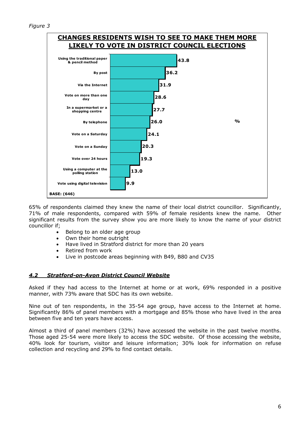*Figure 3*



65% of respondents claimed they knew the name of their local district councillor. Significantly, 71% of male respondents, compared with 59% of female residents knew the name. Other significant results from the survey show you are more likely to know the name of your district councillor if;

- Belong to an older age group
- Own their home outright
- Have lived in Stratford district for more than 20 years
- Retired from work
- Live in postcode areas beginning with B49, B80 and CV35

#### *4.2 Stratford-on-Avon District Council Website*

Asked if they had access to the Internet at home or at work, 69% responded in a positive manner, with 73% aware that SDC has its own website.

Nine out of ten respondents, in the 35-54 age group, have access to the Internet at home. Significantly 86% of panel members with a mortgage and 85% those who have lived in the area between five and ten years have access.

Almost a third of panel members (32%) have accessed the website in the past twelve months. Those aged 25-54 were more likely to access the SDC website. Of those accessing the website, 40% look for tourism, visitor and leisure information; 30% look for information on refuse collection and recycling and 29% to find contact details.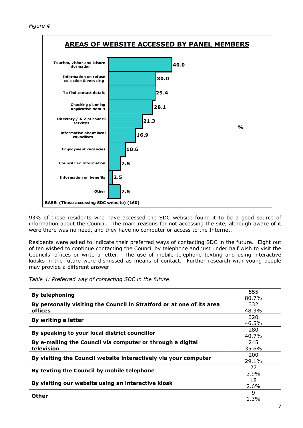

93% of those residents who have accessed the SDC website found it to be a good source of information about the Council. The main reasons for not accessing the site, although aware of it were there was no need, and they have no computer or access to the Internet.

Residents were asked to indicate their preferred ways of contacting SDC in the future. Eight out of ten wished to continue contacting the Council by telephone and just under half wish to visit the Councils' offices or write a letter. The use of mobile telephone texting and using interactive kiosks in the future were dismissed as means of contact. Further research with young people may provide a different answer.

*Table 4: Preferred way of contacting SDC in the future* 

| <b>By telephoning</b>                                                 | 555     |
|-----------------------------------------------------------------------|---------|
|                                                                       | 80.7%   |
| By personally visiting the Council in Stratford or at one of its area | 332     |
| offices                                                               | 48.3%   |
| By writing a letter                                                   | 320     |
|                                                                       | 46.5%   |
|                                                                       | 280     |
| By speaking to your local district councillor                         | 40.7%   |
| By e-mailing the Council via computer or through a digital            | 245     |
| television                                                            | 35.6%   |
| By visiting the Council website interactively via your computer       | 200     |
|                                                                       | 29.1%   |
|                                                                       | 27      |
| By texting the Council by mobile telephone                            | 3.9%    |
| By visiting our website using an interactive kiosk                    | 18      |
|                                                                       | $2.6\%$ |
| <b>Other</b>                                                          | 9       |
|                                                                       | 1.3%    |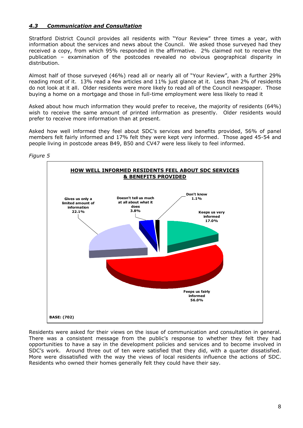#### *4.3 Communication and Consultation*

Stratford District Council provides all residents with "Your Review" three times a year, with information about the services and news about the Council. We asked those surveyed had they received a copy, from which 95% responded in the affirmative. 2% claimed not to receive the publication – examination of the postcodes revealed no obvious geographical disparity in distribution.

Almost half of those surveyed (46%) read all or nearly all of "Your Review", with a further 29% reading most of it. 13% read a few articles and 11% just glance at it. Less than 2% of residents do not look at it all. Older residents were more likely to read all of the Council newspaper. Those buying a home on a mortgage and those in full-time employment were less likely to read it

Asked about how much information they would prefer to receive, the majority of residents (64%) wish to receive the same amount of printed information as presently. Older residents would prefer to receive more information than at present.

Asked how well informed they feel about SDC's services and benefits provided, 56% of panel members felt fairly informed and 17% felt they were kept very informed. Those aged 45-54 and people living in postcode areas B49, B50 and CV47 were less likely to feel informed.



Residents were asked for their views on the issue of communication and consultation in general. There was a consistent message from the public's response to whether they felt they had opportunities to have a say in the development policies and services and to become involved in SDC's work. Around three out of ten were satisfied that they did, with a quarter dissatisfied. More were dissatisfied with the way the views of local residents influence the actions of SDC. Residents who owned their homes generally felt they could have their say.

*Figure 5*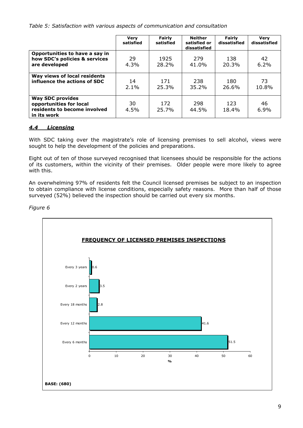*Table 5: Satisfaction with various aspects of communication and consultation* 

|                                                                                                   | <b>Very</b><br>satisfied | Fairly<br>satisfied | Neither<br>satisfied or<br>dissatisfied | Fairly<br>dissatisfied | <b>Verv</b><br>dissatisfied |
|---------------------------------------------------------------------------------------------------|--------------------------|---------------------|-----------------------------------------|------------------------|-----------------------------|
| Opportunities to have a say in<br>how SDC's policies & services<br>are developed                  | 29<br>$4.3\%$            | 1925<br>28.2%       | 279<br>41.0%                            | 138<br>20.3%           | 42<br>6.2%                  |
| Way views of local residents<br>influence the actions of SDC                                      | 14<br>2.1%               | 171<br>25.3%        | 238<br>35.2%                            | 180<br>26.6%           | 73<br>10.8%                 |
| <b>Way SDC provides</b><br>opportunities for local<br>residents to become involved<br>in its work | 30<br>4.5%               | 172<br>25.7%        | 298<br>44.5%                            | 123<br>18.4%           | 46<br>6.9%                  |

#### *4.4 Licensing*

With SDC taking over the magistrate's role of licensing premises to sell alcohol, views were sought to help the development of the policies and preparations.

Eight out of ten of those surveyed recognised that licensees should be responsible for the actions of its customers, within the vicinity of their premises. Older people were more likely to agree with this.

An overwhelming 97% of residents felt the Council licensed premises be subject to an inspection to obtain compliance with license conditions, especially safety reasons. More than half of those surveyed (52%) believed the inspection should be carried out every six months.



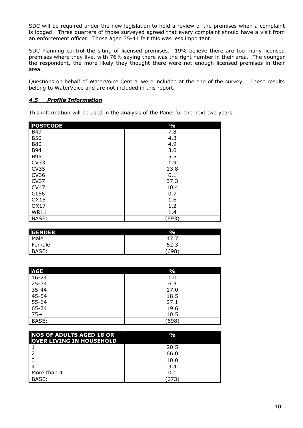SDC will be required under the new legislation to hold a review of the premises when a complaint is lodged. Three quarters of those surveyed agreed that every complaint should have a visit from an enforcement officer. Those aged 35-44 felt this was less important.

SDC Planning control the siting of licensed premises. 19% believe there are too many licensed premises where they live, with 76% saying there was the right number in their area. The younger the respondent, the more likely they thought there were not enough licensed premises in their area.

Questions on behalf of WaterVoice Central were included at the end of the survey. These results belong to WaterVoice and are not included in this report.

#### *4.5 Profile Information*

This information will be used in the analysis of the Panel for the next two years.

| <b>POSTCODE</b> | $\frac{0}{0}$ |
|-----------------|---------------|
| <b>B49</b>      | 7.8           |
| <b>B50</b>      | 4.3           |
| <b>B80</b>      | 4.9           |
| <b>B94</b>      | 3.0           |
| <b>B95</b>      | 5.5           |
| CV33            | 1.9           |
| <b>CV35</b>     | 13.8          |
| <b>CV36</b>     | 6.1           |
| CV37            | 37.3          |
| <b>CV47</b>     | 10.4          |
| GL56            | 0.7           |
| OX15            | 1.6           |
| OX17            | 1.2           |
| <b>WR11</b>     | 1.4           |
| BASE:           | (693)         |

| <b>GENDER</b> | $\%$ |
|---------------|------|
| Male          | 47   |
| Female        | 52.3 |
| BASE:         | 698  |

| <b>AGE</b> | $\frac{0}{0}$ |
|------------|---------------|
| $16 - 24$  | 1.0           |
| 25-34      | 6.3           |
| $35 - 44$  | 17.0          |
| 45-54      | 18.5          |
| 55-64      | 27.1          |
| 65-74      | 19.6          |
| $75+$      | 10.5          |
| BASE:      | (698)         |

| <b>NOS OF ADULTS AGED 18 OR</b><br><b>OVER LIVING IN HOUSEHOLD</b> | $\frac{1}{2}$ |
|--------------------------------------------------------------------|---------------|
|                                                                    | 20.5          |
|                                                                    | 66.0          |
|                                                                    | 10.0          |
|                                                                    | 3.4           |
| More than 4                                                        | 0.1           |
| BASE:                                                              | 673           |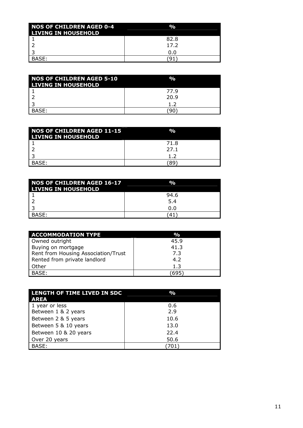| <b>NOS OF CHILDREN AGED 0-4</b><br><b>LIVING IN HOUSEHOLD</b> | $\frac{0}{0}$ |
|---------------------------------------------------------------|---------------|
|                                                               | 82.8          |
|                                                               | 17.2          |
|                                                               | 0.O           |
| BASE:                                                         |               |

| <b>NOS OF CHILDREN AGED 5-10</b><br><b>LIVING IN HOUSEHOLD</b> | $\mathbf{O}_\mathbf{O}$ |
|----------------------------------------------------------------|-------------------------|
|                                                                | 77.9                    |
|                                                                | 20.9                    |
|                                                                | 1.2                     |
| BASE:                                                          | 96.                     |

| NOS OF CHILDREN AGED 11-15<br><b>LIVING IN HOUSEHOLD</b> | %    |
|----------------------------------------------------------|------|
|                                                          | 71.8 |
|                                                          | 27.1 |
|                                                          | 12   |
| BASE:                                                    | 89   |

| <b>NOS OF CHILDREN AGED 16-17</b><br><b>LIVING IN HOUSEHOLD</b> | %    |
|-----------------------------------------------------------------|------|
|                                                                 | 94.6 |
|                                                                 | 5.4  |
|                                                                 | 0.0  |
| BASE:                                                           |      |

| <b>ACCOMMODATION TYPE</b>           | $\frac{0}{0}$ |
|-------------------------------------|---------------|
| Owned outright                      | 45.9          |
| Buying on mortgage                  | 41.3          |
| Rent from Housing Association/Trust | 7.3           |
| Rented from private landlord        | 4.2           |
| Other                               | 1.3           |
| BASE:                               | 695           |

| LENGTH OF TIME LIVED IN SDC<br><b>AREA</b> | $\mathbf{O}_\mathbf{O}$ |
|--------------------------------------------|-------------------------|
| 1 year or less                             | 0.6                     |
| Between 1 & 2 years                        | 2.9                     |
| Between 2 & 5 years                        | 10.6                    |
| Between 5 & 10 years                       | 13.0                    |
| Between 10 & 20 years                      | 22.4                    |
| Over 20 years                              | 50.6                    |
| BASE:                                      |                         |